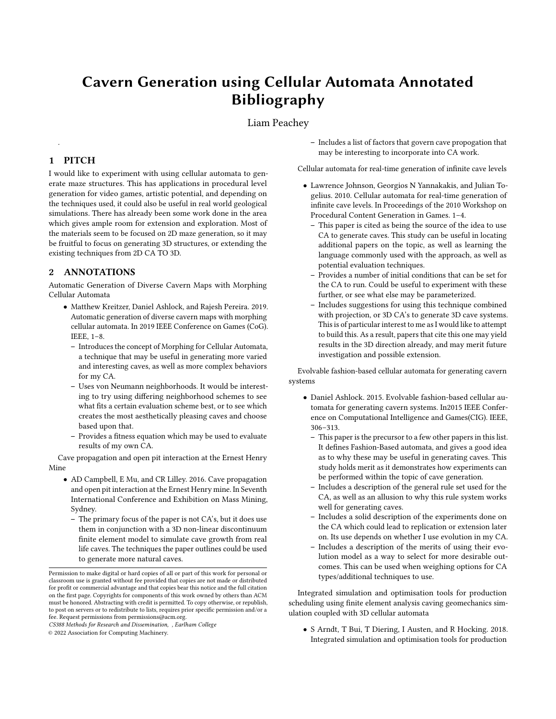## Cavern Generation using Cellular Automata Annotated Bibliography

Liam Peachey

## 1 PITCH

.

I would like to experiment with using cellular automata to generate maze structures. This has applications in procedural level generation for video games, artistic potential, and depending on the techniques used, it could also be useful in real world geological simulations. There has already been some work done in the area which gives ample room for extension and exploration. Most of the materials seem to be focused on 2D maze generation, so it may be fruitful to focus on generating 3D structures, or extending the existing techniques from 2D CA TO 3D.

## 2 ANNOTATIONS

Automatic Generation of Diverse Cavern Maps with Morphing Cellular Automata

- Matthew Kreitzer, Daniel Ashlock, and Rajesh Pereira. 2019. Automatic generation of diverse cavern maps with morphing cellular automata. In 2019 IEEE Conference on Games (CoG). IEEE, 1–8.
	- Introduces the concept of Morphing for Cellular Automata, a technique that may be useful in generating more varied and interesting caves, as well as more complex behaviors for my CA.
	- Uses von Neumann neighborhoods. It would be interesting to try using differing neighborhood schemes to see what fits a certain evaluation scheme best, or to see which creates the most aesthetically pleasing caves and choose based upon that.
	- Provides a fitness equation which may be used to evaluate results of my own CA.

Cave propagation and open pit interaction at the Ernest Henry Mine

- AD Campbell, E Mu, and CR Lilley. 2016. Cave propagation and open pit interaction at the Ernest Henry mine. In Seventh International Conference and Exhibition on Mass Mining, Sydney.
	- The primary focus of the paper is not CA's, but it does use them in conjunction with a 3D non-linear discontinuum finite element model to simulate cave growth from real life caves. The techniques the paper outlines could be used to generate more natural caves.

– Includes a list of factors that govern cave propogation that may be interesting to incorporate into CA work.

Cellular automata for real-time generation of infinite cave levels

- Lawrence Johnson, Georgios N Yannakakis, and Julian Togelius. 2010. Cellular automata for real-time generation of infinite cave levels. In Proceedings of the 2010 Workshop on Procedural Content Generation in Games. 1–4.
	- This paper is cited as being the source of the idea to use CA to generate caves. This study can be useful in locating additional papers on the topic, as well as learning the language commonly used with the approach, as well as potential evaluation techniques.
	- Provides a number of initial conditions that can be set for the CA to run. Could be useful to experiment with these further, or see what else may be parameterized.
	- Includes suggestions for using this technique combined with projection, or 3D CA's to generate 3D cave systems. This is of particular interest to me as I would like to attempt to build this. As a result, papers that cite this one may yield results in the 3D direction already, and may merit future investigation and possible extension.

Evolvable fashion-based cellular automata for generating cavern systems

- Daniel Ashlock. 2015. Evolvable fashion-based cellular automata for generating cavern systems. In2015 IEEE Conference on Computational Intelligence and Games(CIG). IEEE, 306–313.
	- This paper is the precursor to a few other papers in this list. It defines Fashion-Based automata, and gives a good idea as to why these may be useful in generating caves. This study holds merit as it demonstrates how experiments can be performed within the topic of cave generation.
	- Includes a description of the general rule set used for the CA, as well as an allusion to why this rule system works well for generating caves.
	- Includes a solid description of the experiments done on the CA which could lead to replication or extension later on. Its use depends on whether I use evolution in my CA.
	- Includes a description of the merits of using their evolution model as a way to select for more desirable outcomes. This can be used when weighing options for CA types/additional techniques to use.

Integrated simulation and optimisation tools for production scheduling using finite element analysis caving geomechanics simulation coupled with 3D cellular automata

• S Arndt, T Bui, T Diering, I Austen, and R Hocking. 2018. Integrated simulation and optimisation tools for production

Permission to make digital or hard copies of all or part of this work for personal or classroom use is granted without fee provided that copies are not made or distributed for profit or commercial advantage and that copies bear this notice and the full citation on the first page. Copyrights for components of this work owned by others than  $\rm{ACM}$ must be honored. Abstracting with credit is permitted. To copy otherwise, or republish, to post on servers or to redistribute to lists, requires prior specific permission and/or a fee. Request permissions from permissions@acm.org.

CS388 Methods for Research and Dissemination, , Earlham College

<sup>©</sup> 2022 Association for Computing Machinery.